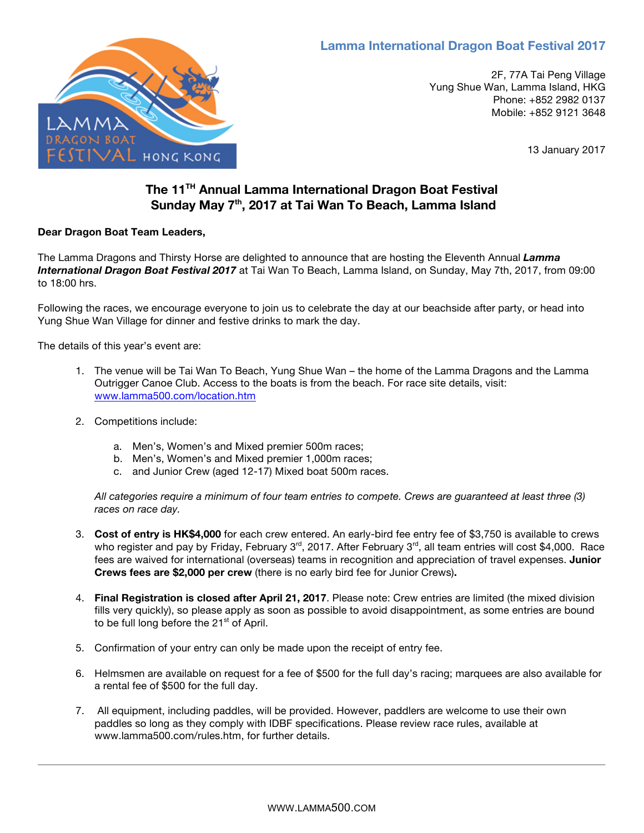# **Lamma International Dragon Boat Festival 2017**



2F, 77A Tai Peng Village Yung Shue Wan, Lamma Island, HKG Phone: +852 2982 0137 Mobile: +852 9121 3648

13 January 2017

# **The 11TH Annual Lamma International Dragon Boat Festival Sunday May 7th, 2017 at Tai Wan To Beach, Lamma Island**

### **Dear Dragon Boat Team Leaders,**

The Lamma Dragons and Thirsty Horse are delighted to announce that are hosting the Eleventh Annual *Lamma International Dragon Boat Festival 2017* at Tai Wan To Beach, Lamma Island, on Sunday, May 7th, 2017, from 09:00 to 18:00 hrs.

Following the races, we encourage everyone to join us to celebrate the day at our beachside after party, or head into Yung Shue Wan Village for dinner and festive drinks to mark the day.

The details of this year's event are:

- 1. The venue will be Tai Wan To Beach, Yung Shue Wan the home of the Lamma Dragons and the Lamma Outrigger Canoe Club. Access to the boats is from the beach. For race site details, visit: www.lamma500.com/location.htm
- 2. Competitions include:
	- a. Men's, Women's and Mixed premier 500m races;
	- b. Men's, Women's and Mixed premier 1,000m races;
	- c. and Junior Crew (aged 12-17) Mixed boat 500m races.

*All categories require a minimum of four team entries to compete. Crews are guaranteed at least three (3) races on race day.*

- 3. **Cost of entry is HK\$4,000** for each crew entered. An early-bird fee entry fee of \$3,750 is available to crews who register and pay by Friday, February  $3^{\text{rd}}$ , 2017. After February  $3^{\text{rd}}$ , all team entries will cost \$4,000. Race fees are waived for international (overseas) teams in recognition and appreciation of travel expenses. **Junior Crews fees are \$2,000 per crew** (there is no early bird fee for Junior Crews)**.**
- 4. **Final Registration is closed after April 21, 2017**. Please note: Crew entries are limited (the mixed division fills very quickly), so please apply as soon as possible to avoid disappointment, as some entries are bound to be full long before the  $21<sup>st</sup>$  of April.
- 5. Confirmation of your entry can only be made upon the receipt of entry fee.
- 6. Helmsmen are available on request for a fee of \$500 for the full day's racing; marquees are also available for a rental fee of \$500 for the full day.
- 7. All equipment, including paddles, will be provided. However, paddlers are welcome to use their own paddles so long as they comply with IDBF specifications. Please review race rules, available at www.lamma500.com/rules.htm, for further details.